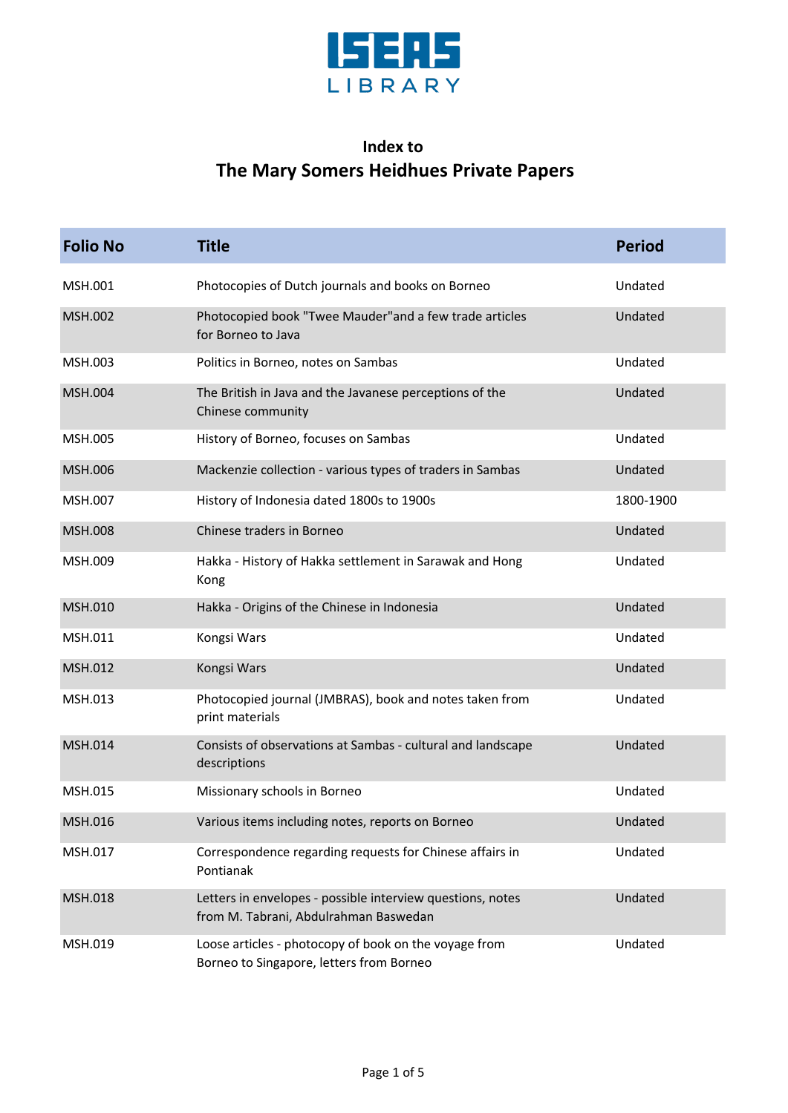

## **Index to The Mary Somers Heidhues Private Papers**

| <b>Folio No</b> | <b>Title</b>                                                                                        | <b>Period</b> |
|-----------------|-----------------------------------------------------------------------------------------------------|---------------|
| MSH.001         | Photocopies of Dutch journals and books on Borneo                                                   | Undated       |
| <b>MSH.002</b>  | Photocopied book "Twee Mauder" and a few trade articles<br>for Borneo to Java                       | Undated       |
| MSH.003         | Politics in Borneo, notes on Sambas                                                                 | Undated       |
| MSH.004         | The British in Java and the Javanese perceptions of the<br>Chinese community                        | Undated       |
| MSH.005         | History of Borneo, focuses on Sambas                                                                | Undated       |
| MSH.006         | Mackenzie collection - various types of traders in Sambas                                           | Undated       |
| MSH.007         | History of Indonesia dated 1800s to 1900s                                                           | 1800-1900     |
| MSH.008         | Chinese traders in Borneo                                                                           | Undated       |
| MSH.009         | Hakka - History of Hakka settlement in Sarawak and Hong<br>Kong                                     | Undated       |
| MSH.010         | Hakka - Origins of the Chinese in Indonesia                                                         | Undated       |
| MSH.011         | Kongsi Wars                                                                                         | Undated       |
| MSH.012         | Kongsi Wars                                                                                         | Undated       |
| MSH.013         | Photocopied journal (JMBRAS), book and notes taken from<br>print materials                          | Undated       |
| MSH.014         | Consists of observations at Sambas - cultural and landscape<br>descriptions                         | Undated       |
| MSH.015         | Missionary schools in Borneo                                                                        | Undated       |
| MSH.016         | Various items including notes, reports on Borneo                                                    | Undated       |
| MSH.017         | Correspondence regarding requests for Chinese affairs in<br>Pontianak                               | Undated       |
| MSH.018         | Letters in envelopes - possible interview questions, notes<br>from M. Tabrani, Abdulrahman Baswedan | Undated       |
| MSH.019         | Loose articles - photocopy of book on the voyage from<br>Borneo to Singapore, letters from Borneo   | Undated       |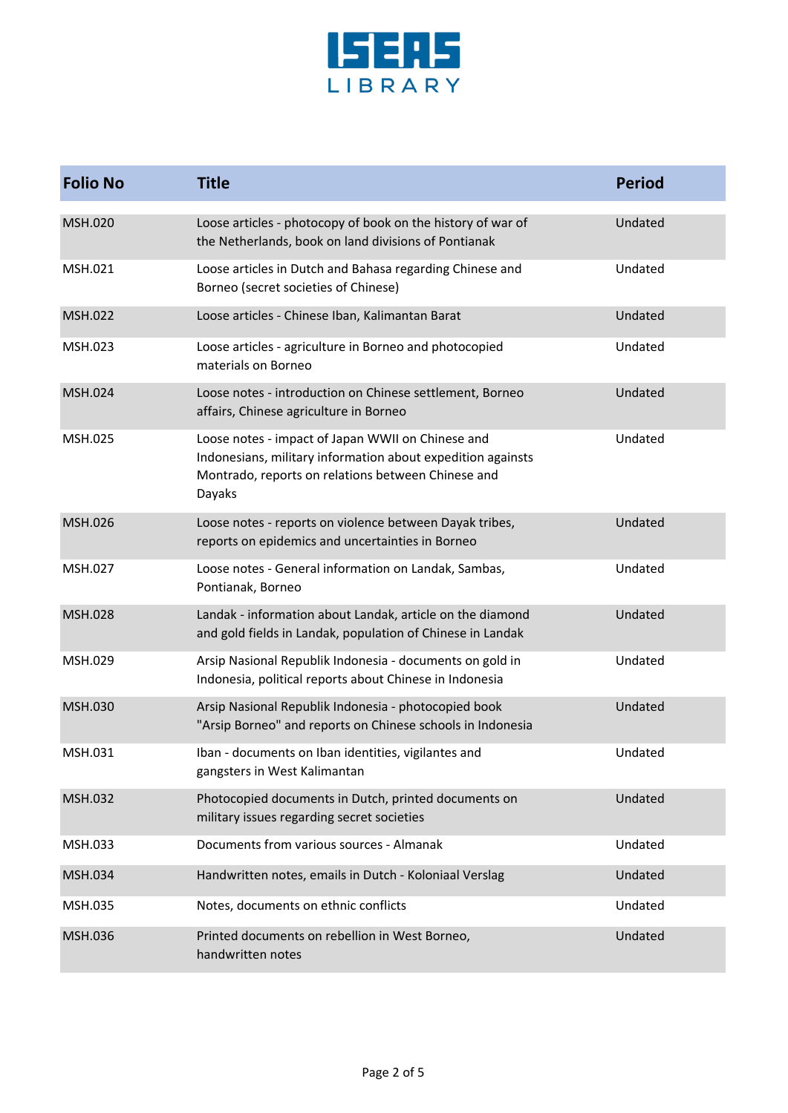

| <b>Folio No</b> | <b>Title</b>                                                                                                                                                                     | <b>Period</b> |
|-----------------|----------------------------------------------------------------------------------------------------------------------------------------------------------------------------------|---------------|
| MSH.020         | Loose articles - photocopy of book on the history of war of<br>the Netherlands, book on land divisions of Pontianak                                                              | Undated       |
| MSH.021         | Loose articles in Dutch and Bahasa regarding Chinese and<br>Borneo (secret societies of Chinese)                                                                                 | Undated       |
| MSH.022         | Loose articles - Chinese Iban, Kalimantan Barat                                                                                                                                  | Undated       |
| MSH.023         | Loose articles - agriculture in Borneo and photocopied<br>materials on Borneo                                                                                                    | Undated       |
| MSH.024         | Loose notes - introduction on Chinese settlement, Borneo<br>affairs, Chinese agriculture in Borneo                                                                               | Undated       |
| MSH.025         | Loose notes - impact of Japan WWII on Chinese and<br>Indonesians, military information about expedition againsts<br>Montrado, reports on relations between Chinese and<br>Dayaks | Undated       |
| MSH.026         | Loose notes - reports on violence between Dayak tribes,<br>reports on epidemics and uncertainties in Borneo                                                                      | Undated       |
| MSH.027         | Loose notes - General information on Landak, Sambas,<br>Pontianak, Borneo                                                                                                        | Undated       |
| MSH.028         | Landak - information about Landak, article on the diamond<br>and gold fields in Landak, population of Chinese in Landak                                                          | Undated       |
| MSH.029         | Arsip Nasional Republik Indonesia - documents on gold in<br>Indonesia, political reports about Chinese in Indonesia                                                              | Undated       |
| MSH.030         | Arsip Nasional Republik Indonesia - photocopied book<br>"Arsip Borneo" and reports on Chinese schools in Indonesia                                                               | Undated       |
| MSH.031         | Iban - documents on Iban identities, vigilantes and<br>gangsters in West Kalimantan                                                                                              | Undated       |
| MSH.032         | Photocopied documents in Dutch, printed documents on<br>military issues regarding secret societies                                                                               | Undated       |
| MSH.033         | Documents from various sources - Almanak                                                                                                                                         | Undated       |
| MSH.034         | Handwritten notes, emails in Dutch - Koloniaal Verslag                                                                                                                           | Undated       |
| MSH.035         | Notes, documents on ethnic conflicts                                                                                                                                             | Undated       |
| MSH.036         | Printed documents on rebellion in West Borneo,<br>handwritten notes                                                                                                              | Undated       |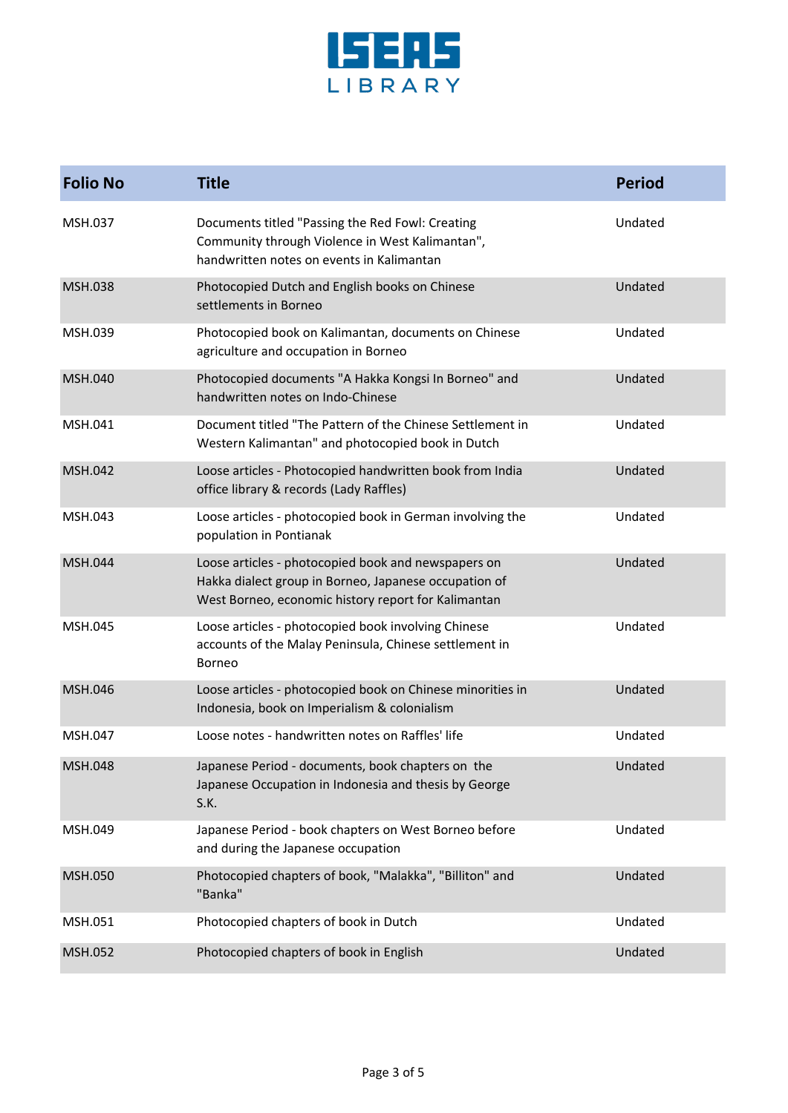

| <b>Folio No</b> | <b>Title</b>                                                                                                                                                        | <b>Period</b> |
|-----------------|---------------------------------------------------------------------------------------------------------------------------------------------------------------------|---------------|
| MSH.037         | Documents titled "Passing the Red Fowl: Creating<br>Community through Violence in West Kalimantan",<br>handwritten notes on events in Kalimantan                    | Undated       |
| <b>MSH.038</b>  | Photocopied Dutch and English books on Chinese<br>settlements in Borneo                                                                                             | Undated       |
| MSH.039         | Photocopied book on Kalimantan, documents on Chinese<br>agriculture and occupation in Borneo                                                                        | Undated       |
| MSH.040         | Photocopied documents "A Hakka Kongsi In Borneo" and<br>handwritten notes on Indo-Chinese                                                                           | Undated       |
| MSH.041         | Document titled "The Pattern of the Chinese Settlement in<br>Western Kalimantan" and photocopied book in Dutch                                                      | Undated       |
| MSH.042         | Loose articles - Photocopied handwritten book from India<br>office library & records (Lady Raffles)                                                                 | Undated       |
| MSH.043         | Loose articles - photocopied book in German involving the<br>population in Pontianak                                                                                | Undated       |
| <b>MSH.044</b>  | Loose articles - photocopied book and newspapers on<br>Hakka dialect group in Borneo, Japanese occupation of<br>West Borneo, economic history report for Kalimantan | Undated       |
| MSH.045         | Loose articles - photocopied book involving Chinese<br>accounts of the Malay Peninsula, Chinese settlement in<br>Borneo                                             | Undated       |
| MSH.046         | Loose articles - photocopied book on Chinese minorities in<br>Indonesia, book on Imperialism & colonialism                                                          | Undated       |
| MSH.047         | Loose notes - handwritten notes on Raffles' life                                                                                                                    | Undated       |
| MSH.048         | Japanese Period - documents, book chapters on the<br>Japanese Occupation in Indonesia and thesis by George<br>S.K.                                                  | Undated       |
| MSH.049         | Japanese Period - book chapters on West Borneo before<br>and during the Japanese occupation                                                                         | Undated       |
| MSH.050         | Photocopied chapters of book, "Malakka", "Billiton" and<br>"Banka"                                                                                                  | Undated       |
| MSH.051         | Photocopied chapters of book in Dutch                                                                                                                               | Undated       |
| MSH.052         | Photocopied chapters of book in English                                                                                                                             | Undated       |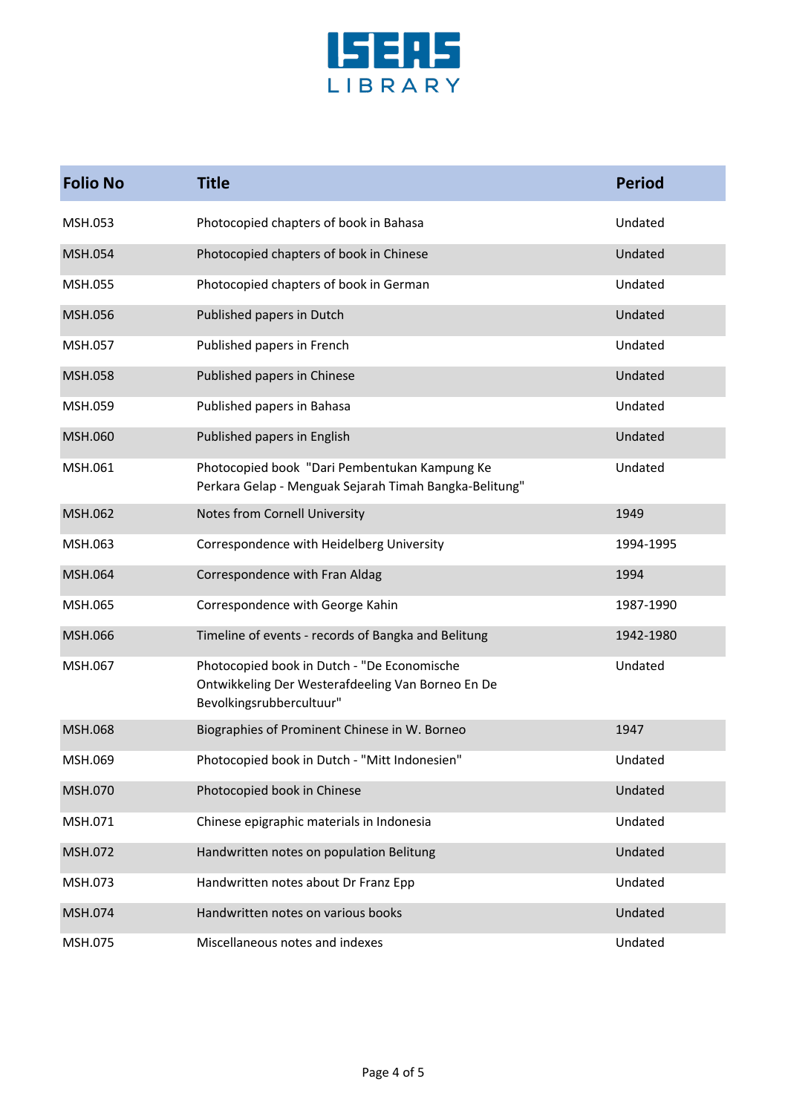

| <b>Folio No</b> | <b>Title</b>                                                                                                                 | <b>Period</b> |
|-----------------|------------------------------------------------------------------------------------------------------------------------------|---------------|
| MSH.053         | Photocopied chapters of book in Bahasa                                                                                       | Undated       |
| MSH.054         | Photocopied chapters of book in Chinese                                                                                      | Undated       |
| MSH.055         | Photocopied chapters of book in German                                                                                       | Undated       |
| MSH.056         | Published papers in Dutch                                                                                                    | Undated       |
| MSH.057         | Published papers in French                                                                                                   | Undated       |
| MSH.058         | Published papers in Chinese                                                                                                  | Undated       |
| MSH.059         | Published papers in Bahasa                                                                                                   | Undated       |
| MSH.060         | Published papers in English                                                                                                  | Undated       |
| MSH.061         | Photocopied book "Dari Pembentukan Kampung Ke<br>Perkara Gelap - Menguak Sejarah Timah Bangka-Belitung"                      | Undated       |
| MSH.062         | Notes from Cornell University                                                                                                | 1949          |
| MSH.063         | Correspondence with Heidelberg University                                                                                    | 1994-1995     |
| MSH.064         | Correspondence with Fran Aldag                                                                                               | 1994          |
| MSH.065         | Correspondence with George Kahin                                                                                             | 1987-1990     |
| MSH.066         | Timeline of events - records of Bangka and Belitung                                                                          | 1942-1980     |
| MSH.067         | Photocopied book in Dutch - "De Economische<br>Ontwikkeling Der Westerafdeeling Van Borneo En De<br>Bevolkingsrubbercultuur" | Undated       |
| MSH.068         | Biographies of Prominent Chinese in W. Borneo                                                                                | 1947          |
| MSH.069         | Photocopied book in Dutch - "Mitt Indonesien"                                                                                | Undated       |
| MSH.070         | Photocopied book in Chinese                                                                                                  | Undated       |
| MSH.071         | Chinese epigraphic materials in Indonesia                                                                                    | Undated       |
| MSH.072         | Handwritten notes on population Belitung                                                                                     | Undated       |
| MSH.073         | Handwritten notes about Dr Franz Epp                                                                                         | Undated       |
| MSH.074         | Handwritten notes on various books                                                                                           | Undated       |
| MSH.075         | Miscellaneous notes and indexes                                                                                              | Undated       |